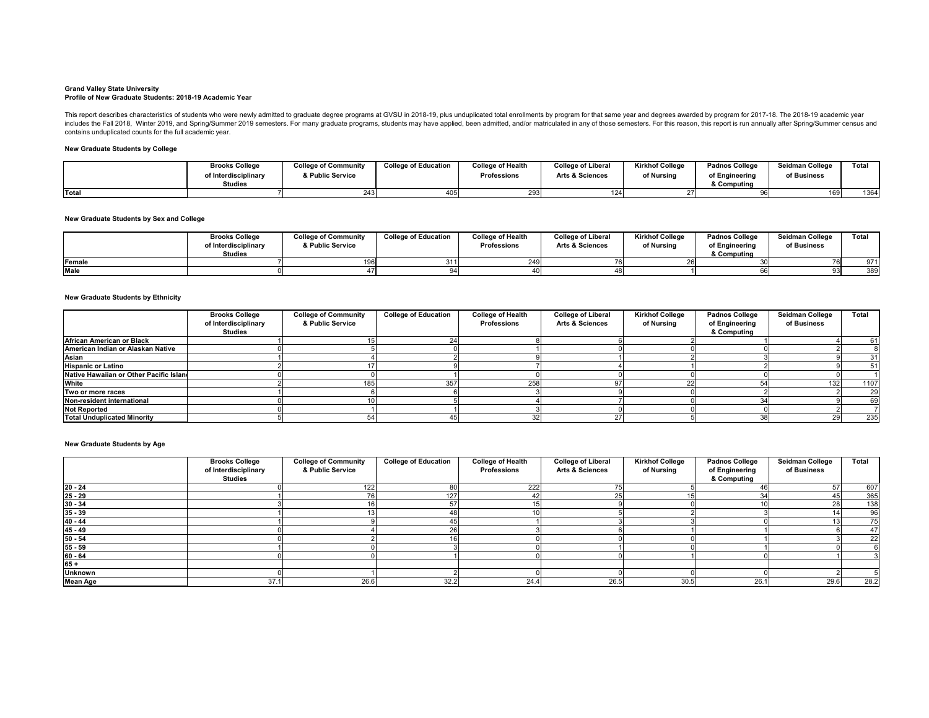## **Grand Valley State University Profile of New Graduate Students: 2018-19 Academic Year**

# **New Graduate Students by College**

**New Graduate Students by Sex and College**

# **New Graduate Students by Ethnicity**

|             | <b>Brooks College</b><br>of Interdisciplinary<br>Studies | <b>College of Community</b><br>& Public Service | <b>College of Education</b> | <b>College of Health</b><br><b>Professions</b> | <b>College of Liberal</b><br><b>Arts &amp; Sciences</b> | <b>Kirkhof College</b><br>of Nursing | <b>Padnos College</b><br>of Engineering<br>& Computing | <b>Seidman College</b><br>of Business | <b>Total</b> |
|-------------|----------------------------------------------------------|-------------------------------------------------|-----------------------------|------------------------------------------------|---------------------------------------------------------|--------------------------------------|--------------------------------------------------------|---------------------------------------|--------------|
| Female      |                                                          | 1961                                            | 311I                        |                                                |                                                         |                                      |                                                        |                                       | 074          |
| <b>Male</b> |                                                          |                                                 | O 1 I                       |                                                |                                                         |                                      |                                                        |                                       | 389          |

This report describes characteristics of students who were newly admitted to graduate degree programs at GVSU in 2018-19, plus unduplicated total enrollments by program for that same year and degrees awarded by program for includes the Fall 2018, Winter 2019, and Spring/Summer 2019 semesters. For many graduate programs, students may have applied, been admitted, and/or matriculated in any of those semesters. For this reason, this report is ru contains unduplicated counts for the full academic year.

|       | <b>Brooks College</b> | <b>College of Community</b> | <b>College of Education</b> | <b>College of Health</b> | <b>College of Liberal</b>  | <b>Kirkhof College</b> | <b>Padnos College</b> | <b>Seidman College</b> | Total |
|-------|-----------------------|-----------------------------|-----------------------------|--------------------------|----------------------------|------------------------|-----------------------|------------------------|-------|
|       | of Interdisciplinary  | & Public Service            |                             | <b>Professions</b>       | <b>Arts &amp; Sciences</b> | of Nursing             | of Engineering        | of Business            |       |
|       | <b>Studies</b>        |                             |                             |                          |                            |                        | & Computing           |                        |       |
| Total |                       | 243                         | 405                         | 293                      | 10 <sub>h</sub>            |                        |                       | 169                    | 1364  |

**New Graduate Students by Age**

|                                         | <b>Brooks College</b><br>of Interdisciplinary<br><b>Studies</b> | <b>College of Community</b><br>& Public Service | <b>College of Education</b> | <b>College of Health</b><br><b>Professions</b> | <b>College of Liberal</b><br><b>Arts &amp; Sciences</b> | <b>Kirkhof College</b><br>of Nursing | <b>Padnos College</b><br>of Engineering<br>& Computing | <b>Seidman College</b><br>of Business | <b>Total</b> |
|-----------------------------------------|-----------------------------------------------------------------|-------------------------------------------------|-----------------------------|------------------------------------------------|---------------------------------------------------------|--------------------------------------|--------------------------------------------------------|---------------------------------------|--------------|
| <b>African American or Black</b>        |                                                                 |                                                 |                             |                                                |                                                         |                                      |                                                        |                                       | 61           |
| American Indian or Alaskan Native       |                                                                 |                                                 |                             |                                                |                                                         |                                      |                                                        |                                       |              |
| Asian                                   |                                                                 |                                                 |                             |                                                |                                                         |                                      |                                                        |                                       | -311         |
| <b>Hispanic or Latino</b>               |                                                                 |                                                 |                             |                                                |                                                         |                                      |                                                        |                                       | 51           |
| Native Hawaiian or Other Pacific Island |                                                                 |                                                 |                             |                                                |                                                         |                                      |                                                        |                                       |              |
| <b>White</b>                            |                                                                 | 185 <sub>1</sub>                                | 357                         | 258                                            |                                                         |                                      |                                                        | 132                                   | 1107         |
| Two or more races                       |                                                                 |                                                 |                             |                                                |                                                         |                                      |                                                        |                                       | 29           |
| Non-resident international              |                                                                 |                                                 |                             |                                                |                                                         |                                      |                                                        |                                       | 69I          |
| <b>Not Reported</b>                     |                                                                 |                                                 |                             |                                                |                                                         |                                      |                                                        |                                       |              |
| <b>Total Unduplicated Minority</b>      |                                                                 |                                                 |                             |                                                |                                                         |                                      | 38                                                     |                                       | 235          |

|                                                        | <b>Brooks College</b><br>of Interdisciplinary<br><b>Studies</b> | <b>College of Community</b><br>& Public Service | <b>College of Education</b> | <b>College of Health</b><br><b>Professions</b> | <b>College of Liberal</b><br><b>Arts &amp; Sciences</b> | <b>Kirkhof College</b><br>of Nursing | <b>Padnos College</b><br>of Engineering<br>& Computing | <b>Seidman College</b><br>of Business | <b>Total</b> |
|--------------------------------------------------------|-----------------------------------------------------------------|-------------------------------------------------|-----------------------------|------------------------------------------------|---------------------------------------------------------|--------------------------------------|--------------------------------------------------------|---------------------------------------|--------------|
| $\frac{20 - 24}{25 - 29}$<br>$\frac{25 - 29}{30 - 34}$ |                                                                 | $122$                                           | 80                          | 222                                            |                                                         |                                      | 46                                                     | 57                                    | 607          |
|                                                        |                                                                 | 76                                              | 127                         |                                                |                                                         |                                      | 34                                                     |                                       | 365          |
|                                                        |                                                                 |                                                 | 57                          |                                                |                                                         |                                      |                                                        |                                       | 138          |
| $\frac{35 - 39}{40 - 44}$                              |                                                                 |                                                 | 48                          |                                                |                                                         |                                      |                                                        |                                       | 96           |
|                                                        |                                                                 |                                                 |                             |                                                |                                                         |                                      |                                                        |                                       | <b>75</b>    |
|                                                        |                                                                 |                                                 | 26                          |                                                |                                                         |                                      |                                                        |                                       | -47 I        |
|                                                        |                                                                 |                                                 |                             |                                                |                                                         |                                      |                                                        |                                       | 22           |
| $\frac{45 - 49}{50 - 54}$<br>$\frac{55 - 59}{60 - 64}$ |                                                                 |                                                 |                             |                                                |                                                         |                                      |                                                        |                                       |              |
|                                                        |                                                                 |                                                 |                             |                                                |                                                         |                                      |                                                        |                                       |              |
| $65 +$                                                 |                                                                 |                                                 |                             |                                                |                                                         |                                      |                                                        |                                       |              |
| <b>Unknown</b>                                         |                                                                 |                                                 |                             |                                                |                                                         |                                      |                                                        |                                       |              |
| <b>Mean Age</b>                                        | 37.1                                                            | 26.6                                            | 32.2                        | 24.4                                           | 26.5                                                    | 30.5                                 | 26.1                                                   | 29.6                                  | 28.2         |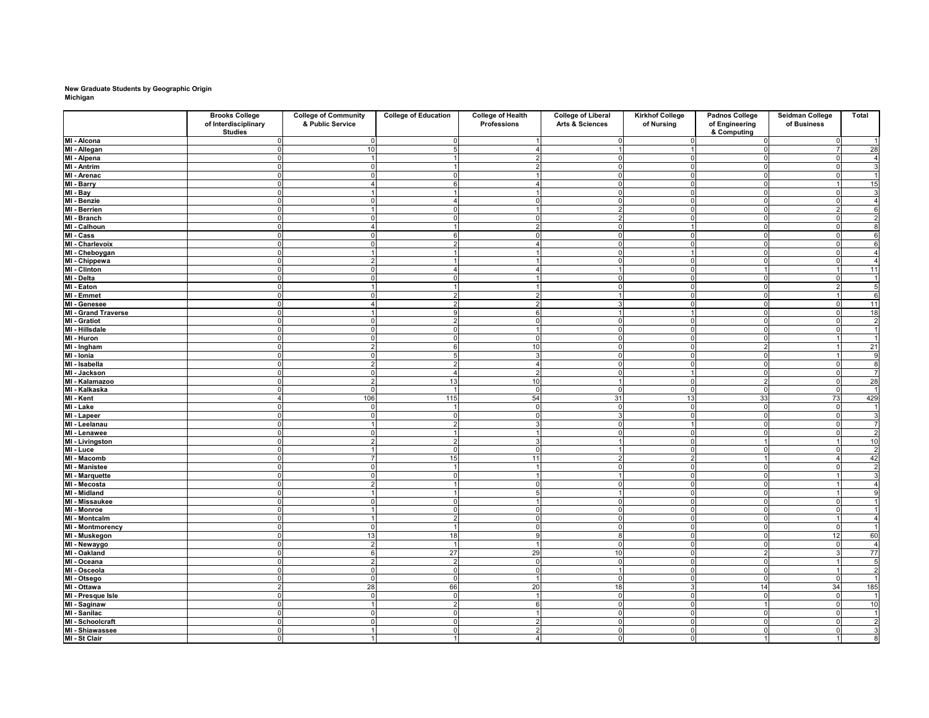# **New Graduate Students by Geographic Origin Michigan**

|                                                   | <b>Brooks College</b><br>of Interdisciplinary | <b>College of Community</b><br>& Public Service | <b>College of Education</b> | <b>College of Health</b><br><b>Professions</b> | <b>College of Liberal</b><br><b>Arts &amp; Sciences</b> | <b>Kirkhof College</b><br>of Nursing | <b>Padnos College</b><br>of Engineering | <b>Seidman College</b><br>of Business | <b>Total</b>         |
|---------------------------------------------------|-----------------------------------------------|-------------------------------------------------|-----------------------------|------------------------------------------------|---------------------------------------------------------|--------------------------------------|-----------------------------------------|---------------------------------------|----------------------|
| MI - Alcona                                       | <b>Studies</b>                                |                                                 |                             |                                                |                                                         |                                      | & Computing                             |                                       |                      |
| MI - Allegan                                      |                                               | 10 <sup>1</sup>                                 |                             |                                                |                                                         |                                      |                                         |                                       | 28                   |
| MI - Alpena                                       |                                               |                                                 |                             |                                                |                                                         |                                      |                                         |                                       | $\overline{4}$       |
| MI - Antrim                                       |                                               |                                                 |                             |                                                |                                                         |                                      |                                         |                                       | $\overline{3}$       |
| MI - Arenac                                       |                                               | $\Omega$                                        |                             |                                                |                                                         |                                      |                                         |                                       | $\overline{1}$       |
| MI - Barry                                        |                                               |                                                 |                             |                                                |                                                         |                                      |                                         |                                       | 15                   |
| MI - Bay                                          |                                               |                                                 |                             |                                                |                                                         |                                      | $\Omega$                                |                                       | $\mathbf{3}$         |
| MI - Benzie                                       |                                               |                                                 |                             |                                                |                                                         |                                      |                                         |                                       | $\overline{4}$       |
| MI - Berrien                                      |                                               |                                                 |                             |                                                |                                                         |                                      |                                         |                                       | $6 \overline{6}$     |
| MI - Branch                                       |                                               |                                                 |                             |                                                |                                                         |                                      |                                         |                                       | $\mathbf{2}$         |
| MI - Calhoun                                      |                                               |                                                 |                             |                                                |                                                         |                                      |                                         |                                       | $\infty$             |
| MI - Cass                                         |                                               | $\Omega$                                        |                             |                                                |                                                         |                                      |                                         |                                       | $\overline{6}$       |
| <b>MI - Charlevoix</b>                            |                                               | $\Omega$                                        |                             |                                                |                                                         |                                      |                                         |                                       | $\overline{6}$       |
| MI - Cheboygan                                    |                                               |                                                 |                             |                                                |                                                         |                                      | $\Omega$                                |                                       | $\overline{4}$       |
| MI - Chippewa                                     |                                               | $\overline{2}$                                  |                             |                                                |                                                         |                                      |                                         |                                       | $\overline{4}$       |
| MI - Clinton                                      |                                               |                                                 |                             |                                                |                                                         |                                      |                                         |                                       | 11                   |
| MI - Delta<br>MI - Eaton                          |                                               |                                                 |                             |                                                |                                                         |                                      |                                         |                                       | $\mathbf{1}$         |
|                                                   |                                               |                                                 |                             |                                                |                                                         |                                      |                                         |                                       | $\overline{5}$       |
| MI - Emmet                                        |                                               |                                                 |                             |                                                |                                                         |                                      |                                         |                                       | $6 \mid$             |
| MI - Genesee                                      |                                               |                                                 |                             |                                                |                                                         |                                      | $\Omega$                                |                                       | 11                   |
| <b>MI - Grand Traverse</b><br><b>MI</b> - Gratiot |                                               | $\Omega$                                        |                             |                                                |                                                         | $\Omega$                             |                                         |                                       | 18<br>$\overline{2}$ |
| MI - Hillsdale                                    |                                               |                                                 |                             |                                                |                                                         |                                      |                                         |                                       | 1 <sup>1</sup>       |
| MI - Huron                                        |                                               |                                                 |                             |                                                |                                                         |                                      |                                         |                                       | $\mathbf{1}$         |
| MI - Ingham                                       |                                               |                                                 |                             |                                                |                                                         |                                      |                                         |                                       | 21                   |
| MI - Ionia                                        |                                               |                                                 |                             |                                                |                                                         |                                      |                                         |                                       | 9                    |
| MI - Isabella                                     |                                               | $\overline{2}$                                  |                             |                                                |                                                         |                                      |                                         |                                       | $\infty$             |
| MI - Jackson                                      |                                               |                                                 |                             |                                                |                                                         |                                      |                                         |                                       | $\overline{7}$       |
| MI - Kalamazoo                                    |                                               | $\overline{2}$                                  | 13                          | 10                                             |                                                         |                                      | $\mathcal{P}$                           |                                       | 28                   |
| MI - Kalkaska                                     |                                               |                                                 |                             |                                                |                                                         |                                      |                                         |                                       | 1                    |
| MI - Kent<br>MI - Lake                            |                                               | 106                                             | 115                         | 54                                             | 31                                                      | 13                                   | 33                                      | 73                                    | 429                  |
|                                                   |                                               | 01                                              |                             |                                                |                                                         | $\Omega$                             |                                         |                                       | $\mathbf{1}$         |
| MI - Lapeer                                       |                                               |                                                 |                             |                                                |                                                         |                                      |                                         |                                       | $\mathbf{3}$         |
| MI - Leelanau                                     |                                               |                                                 |                             |                                                |                                                         |                                      | $\Omega$                                |                                       | $\overline{7}$       |
| MI - Lenawee                                      |                                               | $\overline{0}$                                  |                             |                                                |                                                         |                                      |                                         |                                       | $\overline{2}$       |
| <b>MI</b> - Livingston                            |                                               | $\overline{2}$                                  |                             |                                                |                                                         |                                      |                                         |                                       | 10                   |
| MI - Luce                                         |                                               |                                                 |                             |                                                |                                                         |                                      |                                         |                                       | $\vert$ 2            |
| MI - Macomb                                       |                                               |                                                 | 15                          |                                                |                                                         |                                      |                                         |                                       | 42                   |
| <b>MI - Manistee</b>                              |                                               | $\Omega$                                        |                             |                                                |                                                         |                                      |                                         |                                       | $\overline{2}$       |
| <b>MI - Marquette</b>                             |                                               |                                                 |                             |                                                |                                                         |                                      |                                         |                                       | $\overline{3}$       |
| MI - Mecosta<br><b>MI - Midland</b>               |                                               | $\overline{2}$                                  |                             |                                                |                                                         |                                      |                                         |                                       | $\overline{4}$<br>9  |
| MI - Missaukee                                    |                                               |                                                 |                             |                                                |                                                         |                                      |                                         |                                       |                      |
| MI - Monroe                                       |                                               |                                                 |                             |                                                |                                                         |                                      | $\overline{0}$                          |                                       |                      |
| <b>MI - Montcalm</b>                              |                                               |                                                 | າ                           |                                                |                                                         |                                      |                                         |                                       |                      |
| MI - Montmorency                                  |                                               | 0                                               |                             |                                                |                                                         |                                      |                                         |                                       | $\vert$ 1            |
| MI - Muskegon                                     |                                               | 13                                              | 18                          |                                                |                                                         |                                      |                                         | 12                                    | 60                   |
| MI - Newaygo                                      |                                               | $2\vert$                                        |                             |                                                |                                                         |                                      |                                         |                                       | $\overline{4}$       |
| MI - Oakland                                      |                                               | 6                                               | 27                          | 29                                             | 10                                                      |                                      | $\mathcal{P}$                           |                                       | 77                   |
| MI - Oceana                                       |                                               | $2\vert$                                        | റ                           |                                                |                                                         |                                      |                                         |                                       | 5 <sub>l</sub>       |
| MI - Osceola                                      |                                               | 0                                               |                             |                                                |                                                         |                                      |                                         |                                       | $\vert$ 2            |
|                                                   |                                               | $\overline{0}$                                  |                             |                                                |                                                         |                                      |                                         |                                       |                      |
| MI - Otsego<br>MI - Ottawa                        |                                               | 28                                              | 66                          | 20                                             | 18                                                      |                                      | 14                                      | 34                                    | 185                  |
| MI - Presque Isle                                 |                                               |                                                 |                             |                                                |                                                         |                                      |                                         |                                       | $\vert$ 1            |
| MI - Saginaw                                      |                                               |                                                 |                             |                                                |                                                         |                                      |                                         |                                       | 10                   |
| MI - Sanilac                                      |                                               | <sup>0</sup>                                    |                             |                                                |                                                         |                                      |                                         |                                       | 1 <sup>1</sup>       |
| <b>MI - Schoolcraft</b>                           |                                               |                                                 |                             |                                                |                                                         |                                      |                                         |                                       | $\overline{2}$       |
| MI - Shiawassee                                   |                                               |                                                 |                             |                                                |                                                         | $\Omega$                             |                                         |                                       | $\overline{\omega}$  |
| MI - St Clair                                     | $\Omega$                                      |                                                 | 1                           |                                                |                                                         | - N                                  |                                         |                                       | $\overline{8}$       |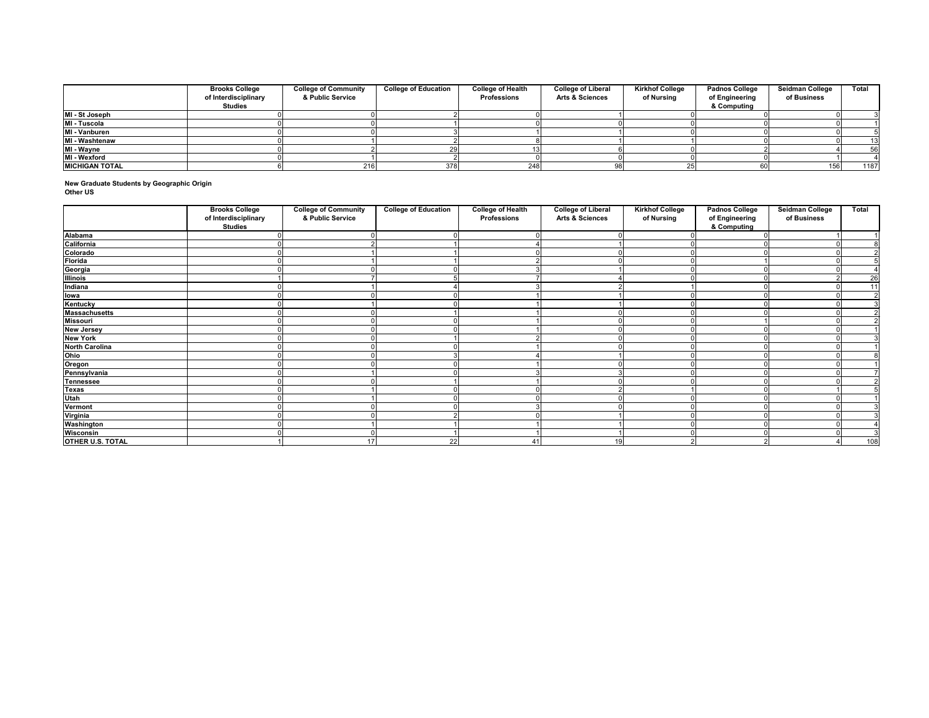**New Graduate Students by Geographic Origin Other US**

|                       | <b>Brooks College</b><br>of Interdisciplinary<br><b>Studies</b> | <b>College of Community</b><br>& Public Service | <b>College of Education</b> | <b>College of Health</b><br><b>Professions</b> | <b>College of Liberal</b><br><b>Arts &amp; Sciences</b> | <b>Kirkhof College</b><br>of Nursing | <b>Padnos College</b><br>of Engineering<br>& Computing | <b>Seidman College</b><br>of Business | <b>Total</b> |
|-----------------------|-----------------------------------------------------------------|-------------------------------------------------|-----------------------------|------------------------------------------------|---------------------------------------------------------|--------------------------------------|--------------------------------------------------------|---------------------------------------|--------------|
| MI - St Joseph        |                                                                 |                                                 |                             |                                                |                                                         |                                      |                                                        |                                       |              |
| MI - Tuscola          |                                                                 |                                                 |                             |                                                |                                                         |                                      |                                                        |                                       |              |
| MI - Vanburen         |                                                                 |                                                 |                             |                                                |                                                         |                                      |                                                        |                                       |              |
| MI - Washtenaw        |                                                                 |                                                 |                             |                                                |                                                         |                                      |                                                        |                                       | 13           |
| MI - Wayne            |                                                                 |                                                 |                             |                                                |                                                         |                                      |                                                        |                                       | 56           |
| MI - Wexford          |                                                                 |                                                 |                             |                                                |                                                         |                                      |                                                        |                                       |              |
| <b>MICHIGAN TOTAL</b> |                                                                 | 216                                             | 378                         | 248                                            |                                                         |                                      |                                                        | 156                                   | 1187         |

|                                | <b>Brooks College</b><br>of Interdisciplinary<br><b>Studies</b> | <b>College of Community</b><br>& Public Service | <b>College of Education</b> | <b>College of Health</b><br><b>Professions</b> | <b>College of Liberal</b><br><b>Arts &amp; Sciences</b> | <b>Kirkhof College</b><br>of Nursing | <b>Padnos College</b><br>of Engineering<br>& Computing | <b>Seidman College</b><br>of Business | <b>Total</b>   |
|--------------------------------|-----------------------------------------------------------------|-------------------------------------------------|-----------------------------|------------------------------------------------|---------------------------------------------------------|--------------------------------------|--------------------------------------------------------|---------------------------------------|----------------|
| <b>Alabama</b>                 |                                                                 |                                                 |                             |                                                |                                                         |                                      |                                                        |                                       |                |
| California                     |                                                                 |                                                 |                             |                                                |                                                         |                                      |                                                        |                                       |                |
| Colorado                       |                                                                 |                                                 |                             |                                                |                                                         |                                      |                                                        |                                       |                |
| <b>Florida</b>                 |                                                                 |                                                 |                             |                                                |                                                         |                                      |                                                        |                                       |                |
| Georgia                        |                                                                 |                                                 |                             |                                                |                                                         |                                      |                                                        |                                       |                |
| <b>Illinois</b>                |                                                                 |                                                 |                             |                                                |                                                         |                                      |                                                        |                                       | 26             |
| Indiana                        |                                                                 |                                                 |                             |                                                |                                                         |                                      |                                                        |                                       | 11             |
| <b>lowa</b><br>Kentucky        |                                                                 |                                                 |                             |                                                |                                                         |                                      |                                                        |                                       | $\overline{2}$ |
|                                |                                                                 |                                                 |                             |                                                |                                                         |                                      |                                                        |                                       | $\overline{3}$ |
| <b>Massachusetts</b>           |                                                                 |                                                 |                             |                                                |                                                         |                                      |                                                        |                                       | ി              |
| <b>Missouri</b>                |                                                                 |                                                 |                             |                                                |                                                         |                                      |                                                        |                                       |                |
| <b>New Jersey</b>              |                                                                 |                                                 |                             |                                                |                                                         |                                      |                                                        |                                       |                |
| <b>New York</b>                |                                                                 |                                                 |                             |                                                |                                                         |                                      |                                                        |                                       |                |
| <b>North Carolina</b>          |                                                                 |                                                 |                             |                                                |                                                         |                                      |                                                        |                                       |                |
| Ohio                           |                                                                 |                                                 |                             |                                                |                                                         |                                      |                                                        |                                       |                |
| Oregon<br>Pennsylvania         |                                                                 |                                                 |                             |                                                |                                                         |                                      |                                                        |                                       |                |
|                                |                                                                 |                                                 |                             |                                                |                                                         |                                      |                                                        |                                       |                |
| <b>Tennessee</b>               |                                                                 |                                                 |                             |                                                |                                                         |                                      |                                                        |                                       |                |
| <b>Texas</b>                   |                                                                 |                                                 |                             |                                                |                                                         |                                      |                                                        |                                       |                |
| Utah                           |                                                                 |                                                 |                             |                                                |                                                         |                                      |                                                        |                                       |                |
| Vermont                        |                                                                 |                                                 |                             |                                                |                                                         |                                      |                                                        |                                       |                |
| <b>Virginia<br/>Washington</b> |                                                                 |                                                 |                             |                                                |                                                         |                                      |                                                        |                                       |                |
|                                |                                                                 |                                                 |                             |                                                |                                                         |                                      |                                                        |                                       |                |
| <b>Wisconsin</b>               |                                                                 |                                                 |                             |                                                |                                                         |                                      |                                                        |                                       | 3              |
| <b>OTHER U.S. TOTAL</b>        |                                                                 | 17                                              | 22                          | 41                                             |                                                         |                                      |                                                        |                                       | 108            |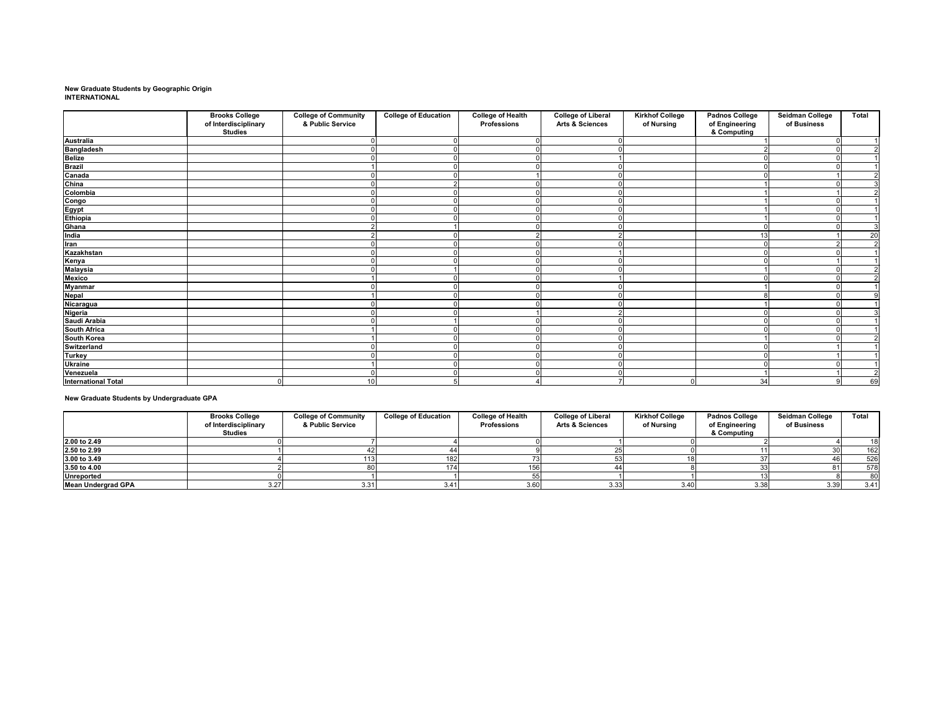### **New Graduate Students by Geographic Origin INTERNATIONAL**

|                                                                                                                       | <b>Brooks College</b> | <b>College of Community</b> | <b>College of Education</b> | <b>College of Health</b> | <b>College of Liberal</b>  | <b>Kirkhof College</b> | <b>Padnos College</b> | <b>Seidman College</b> | <b>Total</b>   |
|-----------------------------------------------------------------------------------------------------------------------|-----------------------|-----------------------------|-----------------------------|--------------------------|----------------------------|------------------------|-----------------------|------------------------|----------------|
|                                                                                                                       | of Interdisciplinary  | & Public Service            |                             | <b>Professions</b>       | <b>Arts &amp; Sciences</b> | of Nursing             | of Engineering        | of Business            |                |
|                                                                                                                       | <b>Studies</b>        |                             |                             |                          |                            |                        | & Computing           |                        |                |
| <b>Australia</b>                                                                                                      |                       |                             |                             |                          |                            |                        |                       |                        |                |
|                                                                                                                       |                       |                             |                             |                          |                            |                        |                       |                        | $\overline{2}$ |
|                                                                                                                       |                       |                             |                             |                          |                            |                        | $\Omega$              |                        |                |
|                                                                                                                       |                       |                             |                             |                          |                            |                        | $\Omega$              |                        |                |
| <b>Exercise</b><br><b>Bangladesh<br/> Belize</b><br><b>Brazil</b><br><b>Canada</b><br><b>China</b><br><b>Colombia</b> |                       |                             |                             |                          |                            |                        |                       |                        | $\overline{2}$ |
|                                                                                                                       |                       |                             |                             |                          |                            |                        |                       |                        | $\overline{3}$ |
|                                                                                                                       |                       |                             |                             |                          |                            |                        |                       |                        | $\overline{2}$ |
| Congo<br>Egypt<br>Ethiopia                                                                                            |                       |                             |                             |                          |                            |                        |                       |                        |                |
|                                                                                                                       |                       | $\Omega$                    |                             |                          |                            |                        |                       |                        |                |
|                                                                                                                       |                       |                             |                             |                          |                            |                        |                       |                        |                |
| Ghana                                                                                                                 |                       |                             |                             |                          |                            |                        |                       |                        | 3              |
| India                                                                                                                 |                       |                             |                             |                          |                            |                        | 13                    |                        | 20             |
| <b>Iran</b>                                                                                                           |                       |                             |                             |                          |                            |                        | $\Omega$              |                        | $\overline{2}$ |
| <b>Kazakhstan</b>                                                                                                     |                       |                             |                             |                          |                            |                        | $\Omega$              |                        |                |
|                                                                                                                       |                       |                             |                             |                          |                            |                        | $\Omega$              |                        |                |
| Kenya<br>Malaysia                                                                                                     |                       |                             |                             |                          |                            |                        |                       |                        | $\overline{2}$ |
| <b>Mexico</b>                                                                                                         |                       |                             |                             |                          |                            |                        |                       |                        | <sup>2</sup>   |
|                                                                                                                       |                       |                             |                             |                          |                            |                        |                       |                        |                |
| Myanmar<br>Nepal<br>Nicaragua                                                                                         |                       |                             |                             |                          |                            |                        |                       |                        |                |
|                                                                                                                       |                       |                             |                             |                          |                            |                        |                       |                        |                |
|                                                                                                                       |                       |                             |                             |                          |                            |                        | $\Omega$              |                        |                |
| Nigeria<br>Saudi Arabia                                                                                               |                       |                             |                             |                          |                            |                        |                       |                        |                |
| <b>South Africa</b>                                                                                                   |                       |                             |                             |                          |                            |                        |                       |                        |                |
| <b>South Korea</b><br>Switzerland                                                                                     |                       |                             |                             |                          |                            |                        |                       |                        |                |
|                                                                                                                       |                       |                             |                             |                          |                            |                        |                       |                        |                |
| <b>Turkey</b>                                                                                                         |                       |                             |                             |                          |                            |                        | $\Omega$              |                        |                |
|                                                                                                                       |                       |                             |                             |                          |                            |                        |                       |                        |                |
| Ukraine<br>Venezuela                                                                                                  |                       |                             |                             |                          |                            |                        |                       |                        | $\overline{2}$ |
| <b>International Total</b>                                                                                            |                       | 10 <sup>1</sup>             |                             |                          |                            |                        | 34                    |                        | 69             |

**New Graduate Students by Undergraduate GPA**

|                           | <b>Brooks College</b><br>of Interdisciplinary<br><b>Studies</b> | <b>College of Community</b><br>& Public Service | <b>College of Education</b> | <b>College of Health</b><br><b>Professions</b> | <b>College of Liberal</b><br><b>Arts &amp; Sciences</b> | <b>Kirkhof College</b><br>of Nursing | <b>Padnos College</b><br>of Engineering<br>& Computing | <b>Seidman College</b><br>of Business | <b>Total</b> |
|---------------------------|-----------------------------------------------------------------|-------------------------------------------------|-----------------------------|------------------------------------------------|---------------------------------------------------------|--------------------------------------|--------------------------------------------------------|---------------------------------------|--------------|
| 2.00 to 2.49              |                                                                 |                                                 |                             |                                                |                                                         |                                      |                                                        |                                       | 18           |
| 2.50 to 2.99              |                                                                 |                                                 |                             |                                                |                                                         |                                      |                                                        |                                       | 162          |
| 3.00 to 3.49              |                                                                 | 131                                             |                             |                                                |                                                         |                                      |                                                        |                                       | 526          |
| 3.50 to 4.00              |                                                                 |                                                 |                             | 156                                            |                                                         |                                      |                                                        |                                       | 578          |
| <b>Unreported</b>         |                                                                 |                                                 |                             |                                                |                                                         |                                      |                                                        |                                       | 80           |
| <b>Mean Undergrad GPA</b> | 3.27                                                            | 3.31                                            | 3.41                        | 3.60                                           | 3.33                                                    | 3.40                                 | 3.38                                                   | 3.39                                  | 3.41         |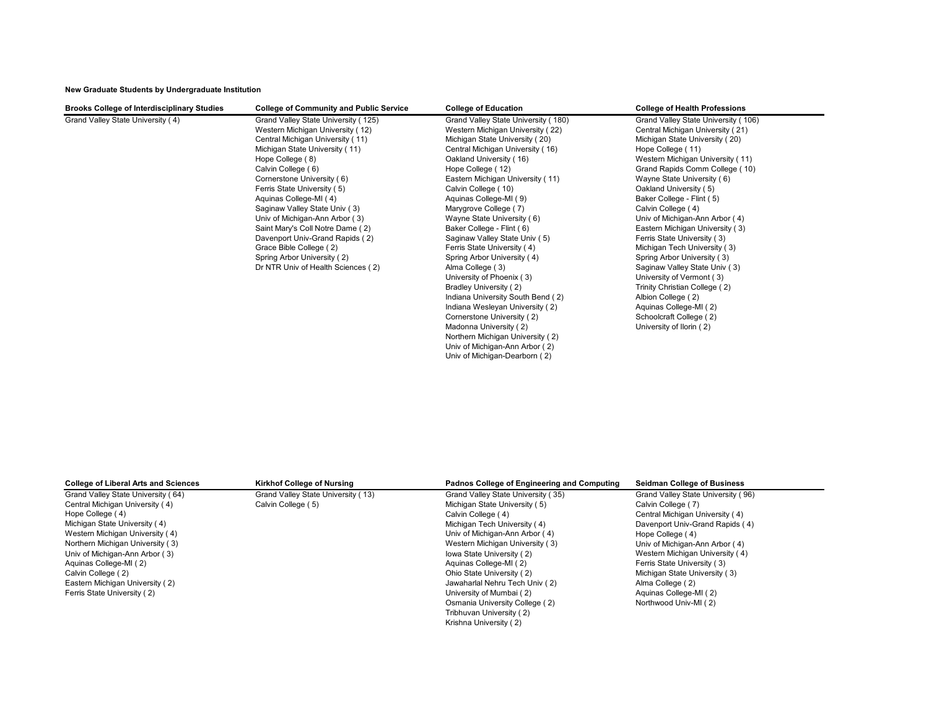**New Graduate Students by Undergraduate Institution**

| <b>Brooks College of Interdisciplinary Studies</b> | <b>College of Community and Public Service</b> | <b>College of Education</b>         | <b>College of Health Professions</b> |
|----------------------------------------------------|------------------------------------------------|-------------------------------------|--------------------------------------|
| Grand Valley State University (4)                  | Grand Valley State University (125)            | Grand Valley State University (180) | Grand Valley State University (106)  |
|                                                    | Western Michigan University (12)               | Western Michigan University (22)    | Central Michigan University (21)     |
|                                                    | Central Michigan University (11)               | Michigan State University (20)      | Michigan State University (20)       |
|                                                    | Michigan State University (11)                 | Central Michigan University (16)    | Hope College (11)                    |
|                                                    | Hope College (8)                               | Oakland University (16)             | Western Michigan University (11)     |
|                                                    | Calvin College (6)                             | Hope College (12)                   | Grand Rapids Comm College (10)       |
|                                                    | Cornerstone University (6)                     | Eastern Michigan University (11)    | Wayne State University (6)           |
|                                                    | Ferris State University (5)                    | Calvin College (10)                 | Oakland University (5)               |
|                                                    | Aquinas College-MI (4)                         | Aquinas College-MI (9)              | Baker College - Flint (5)            |
|                                                    | Saginaw Valley State Univ (3)                  | Marygrove College (7)               | Calvin College (4)                   |
|                                                    | Univ of Michigan-Ann Arbor (3)                 | Wayne State University (6)          | Univ of Michigan-Ann Arbor (4)       |
|                                                    | Saint Mary's Coll Notre Dame (2)               | Baker College - Flint (6)           | Eastern Michigan University (3)      |
|                                                    | Davenport Univ-Grand Rapids (2)                | Saginaw Valley State Univ (5)       | Ferris State University (3)          |
|                                                    | Grace Bible College (2)                        | Ferris State University (4)         | Michigan Tech University (3)         |
|                                                    | Spring Arbor University (2)                    | Spring Arbor University (4)         | Spring Arbor University (3)          |
|                                                    | Dr NTR Univ of Health Sciences (2)             | Alma College (3)                    | Saginaw Valley State Univ (3)        |
|                                                    |                                                | University of Phoenix (3)           | University of Vermont (3)            |
|                                                    |                                                | Bradley University (2)              | Trinity Christian College (2)        |
|                                                    |                                                | Indiana University South Bend (2)   | Albion College (2)                   |
|                                                    |                                                | Indiana Wesleyan University (2)     | Aquinas College-MI (2)               |
|                                                    |                                                | Cornerstone University (2)          | Schoolcraft College (2)              |
|                                                    |                                                | Madonna University (2)              | University of Ilorin (2)             |
|                                                    |                                                | Northern Michigan University (2)    |                                      |
|                                                    |                                                | Univ of Michigan-Ann Arbor (2)      |                                      |
|                                                    |                                                | Univ of Michigan-Dearborn (2)       |                                      |

| <b>College of Liberal Arts and Sciences</b> | <b>Kirkhof College of Nursing</b>  | Padnos College of Engineering and Computing | <b>Seidman College of Business</b> |
|---------------------------------------------|------------------------------------|---------------------------------------------|------------------------------------|
| Grand Valley State University (64)          | Grand Valley State University (13) | Grand Valley State University (35)          | Grand Valley State University (96) |
| Central Michigan University (4)             | Calvin College (5)                 | Michigan State University (5)               | Calvin College (7)                 |
| Hope College (4)                            |                                    | Calvin College (4)                          | Central Michigan University (4)    |
| Michigan State University (4)               |                                    | Michigan Tech University (4)                | Davenport Univ-Grand Rapids (4)    |
| Western Michigan University (4)             |                                    | Univ of Michigan-Ann Arbor (4)              | Hope College (4)                   |
| Northern Michigan University (3)            |                                    | Western Michigan University (3)             | Univ of Michigan-Ann Arbor (4)     |
| Univ of Michigan-Ann Arbor (3)              |                                    | lowa State University (2)                   | Western Michigan University (4)    |
| Aquinas College-MI (2)                      |                                    | Aquinas College-MI (2)                      | Ferris State University (3)        |
| Calvin College (2)                          |                                    | Ohio State University (2)                   | Michigan State University (3)      |
| Eastern Michigan University (2)             |                                    | Jawaharlal Nehru Tech Univ (2)              | Alma College (2)                   |
| Ferris State University (2)                 |                                    | University of Mumbai (2)                    | Aquinas College-MI (2)             |
|                                             |                                    | Osmania University College (2)              | Northwood Univ-MI (2)              |
|                                             |                                    | Tribhuvan University (2)                    |                                    |
|                                             |                                    | Krishna University (2)                      |                                    |